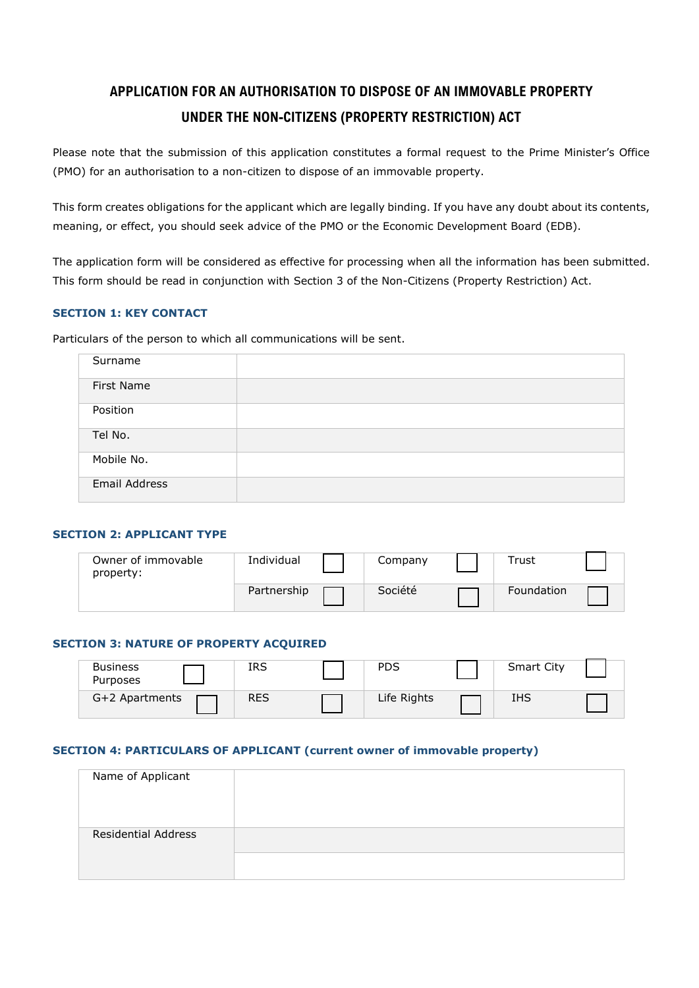# **APPLICATION FOR AN AUTHORISATION TO DISPOSE OF AN IMMOVABLE PROPERTY UNDER THE NON-CITIZENS (PROPERTY RESTRICTION) ACT**

Please note that the submission of this application constitutes a formal request to the Prime Minister's Office (PMO) for an authorisation to a non-citizen to dispose of an immovable property.

This form creates obligations for the applicant which are legally binding. If you have any doubt about its contents, meaning, or effect, you should seek advice of the PMO or the Economic Development Board (EDB).

The application form will be considered as effective for processing when all the information has been submitted. This form should be read in conjunction with Section 3 of the Non-Citizens (Property Restriction) Act.

#### **SECTION 1: KEY CONTACT**

Particulars of the person to which all communications will be sent.

| Surname       |  |
|---------------|--|
| First Name    |  |
| Position      |  |
| Tel No.       |  |
| Mobile No.    |  |
| Email Address |  |

#### **SECTION 2: APPLICANT TYPE**

| Owner of immovable<br>property: | Individual  | Company | Trust             |  |
|---------------------------------|-------------|---------|-------------------|--|
|                                 | Partnership | Société | <b>Foundation</b> |  |

#### **SECTION 3: NATURE OF PROPERTY ACQUIRED**

| <b>Business</b><br>Purposes | IRS        | PDS         | <b>Smart City</b> |  |
|-----------------------------|------------|-------------|-------------------|--|
| G+2 Apartments              | <b>RES</b> | Life Rights | IHS               |  |

#### **SECTION 4: PARTICULARS OF APPLICANT (current owner of immovable property)**

| Name of Applicant          |  |
|----------------------------|--|
| <b>Residential Address</b> |  |